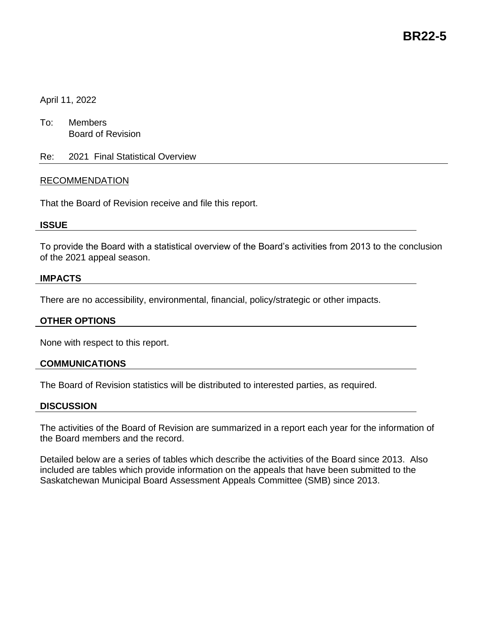## April 11, 2022

- To: Members Board of Revision
- Re: 2021 Final Statistical Overview

### RECOMMENDATION

That the Board of Revision receive and file this report.

### **ISSUE**

To provide the Board with a statistical overview of the Board's activities from 2013 to the conclusion of the 2021 appeal season.

### **IMPACTS**

There are no accessibility, environmental, financial, policy/strategic or other impacts.

### **OTHER OPTIONS**

None with respect to this report.

### **COMMUNICATIONS**

The Board of Revision statistics will be distributed to interested parties, as required.

#### **DISCUSSION**

The activities of the Board of Revision are summarized in a report each year for the information of the Board members and the record.

Detailed below are a series of tables which describe the activities of the Board since 2013. Also included are tables which provide information on the appeals that have been submitted to the Saskatchewan Municipal Board Assessment Appeals Committee (SMB) since 2013.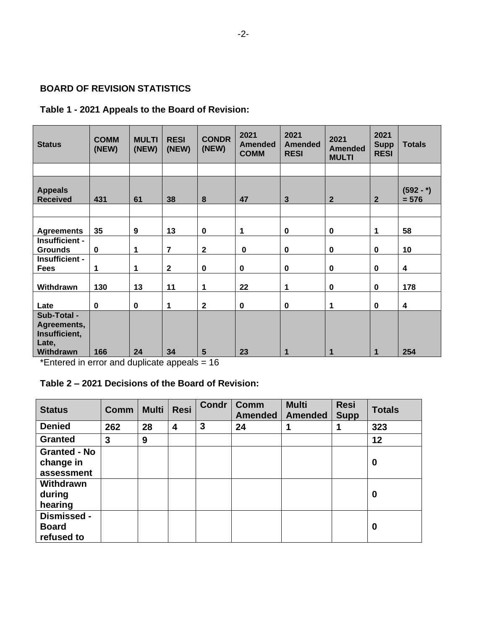## **BOARD OF REVISION STATISTICS**

## **Table 1 - 2021 Appeals to the Board of Revision:**

| <b>Status</b>                                                     | <b>COMM</b><br>(NEW) | <b>MULTI</b><br>(NEW) | <b>RESI</b><br>(NEW) | <b>CONDR</b><br>(NEW) | 2021<br><b>Amended</b><br><b>COMM</b> | 2021<br><b>Amended</b><br><b>RESI</b> | 2021<br><b>Amended</b><br><b>MULTI</b> | 2021<br><b>Supp</b><br><b>RESI</b> | <b>Totals</b>           |
|-------------------------------------------------------------------|----------------------|-----------------------|----------------------|-----------------------|---------------------------------------|---------------------------------------|----------------------------------------|------------------------------------|-------------------------|
|                                                                   |                      |                       |                      |                       |                                       |                                       |                                        |                                    |                         |
| <b>Appeals</b><br><b>Received</b>                                 | 431                  | 61                    | 38                   | 8                     | 47                                    | $\mathbf{3}$                          | $\mathbf{2}$                           | $\mathbf{2}$                       | $(592 - )$<br>$= 576$   |
|                                                                   |                      |                       |                      |                       |                                       |                                       |                                        |                                    |                         |
| <b>Agreements</b>                                                 | 35                   | 9                     | 13                   | $\mathbf 0$           | 1                                     | $\mathbf 0$                           | $\mathbf 0$                            | 1                                  | 58                      |
| Insufficient -<br><b>Grounds</b>                                  | $\mathbf 0$          | 1                     | $\overline{7}$       | $\mathbf{2}$          | $\mathbf 0$                           | $\mathbf 0$                           | $\pmb{0}$                              | $\mathbf 0$                        | 10                      |
| Insufficient -<br><b>Fees</b>                                     | 1                    | 1                     | $\overline{2}$       | $\mathbf 0$           | $\bf{0}$                              | $\mathbf 0$                           | $\mathbf 0$                            | $\mathbf 0$                        | $\overline{\mathbf{4}}$ |
| Withdrawn                                                         | 130                  | 13                    | 11                   | 1                     | 22                                    | 1                                     | $\mathbf 0$                            | $\mathbf 0$                        | 178                     |
| Late                                                              | $\mathbf 0$          | $\pmb{0}$             | $\mathbf 1$          | $\mathbf{2}$          | $\bf{0}$                              | $\mathbf 0$                           | 1                                      | $\mathbf 0$                        | 4                       |
| Sub-Total -<br>Agreements,<br>Insufficient,<br>Late,<br>Withdrawn | 166                  | 24                    | 34                   | 5                     | 23                                    |                                       | 1                                      | 1                                  | 254                     |

\*Entered in error and duplicate appeals = 16

# **Table 2 – 2021 Decisions of the Board of Revision:**

| <b>Status</b>                                  | <b>Comm</b> | <b>Multi</b> | <b>Resi</b>             | <b>Condr</b> | Comm<br><b>Amended</b> | <b>Multi</b><br><b>Amended</b> | <b>Resi</b><br><b>Supp</b> | <b>Totals</b> |
|------------------------------------------------|-------------|--------------|-------------------------|--------------|------------------------|--------------------------------|----------------------------|---------------|
| <b>Denied</b>                                  | 262         | 28           | $\overline{\mathbf{4}}$ | 3            | 24                     |                                |                            | 323           |
| <b>Granted</b>                                 | 3           | 9            |                         |              |                        |                                |                            | 12            |
| <b>Granted - No</b><br>change in<br>assessment |             |              |                         |              |                        |                                |                            | 0             |
| Withdrawn<br>during<br>hearing                 |             |              |                         |              |                        |                                |                            | 0             |
| Dismissed -<br><b>Board</b><br>refused to      |             |              |                         |              |                        |                                |                            | $\bf{0}$      |